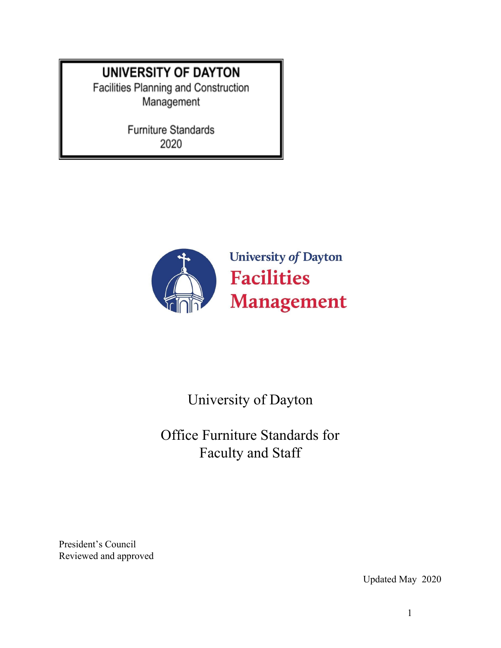# **UNIVERSITY OF DAYTON**

Facilities Planning and Construction Management

> Furniture Standards 2020



# University of Dayton

Office Furniture Standards for Faculty and Staff

President's Council Reviewed and approved

Updated May 2020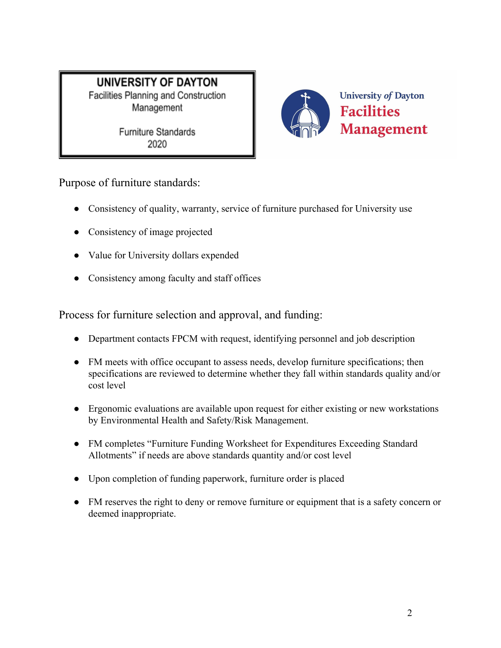**Furniture Standards** 2020



Purpose of furniture standards:

- Consistency of quality, warranty, service of furniture purchased for University use
- Consistency of image projected
- Value for University dollars expended
- Consistency among faculty and staff offices

Process for furniture selection and approval, and funding:

- Department contacts FPCM with request, identifying personnel and job description
- FM meets with office occupant to assess needs, develop furniture specifications; then specifications are reviewed to determine whether they fall within standards quality and/or cost level
- Ergonomic evaluations are available upon request for either existing or new workstations by Environmental Health and Safety/Risk Management.
- FM completes "Furniture Funding Worksheet for Expenditures Exceeding Standard Allotments" if needs are above standards quantity and/or cost level
- Upon completion of funding paperwork, furniture order is placed
- FM reserves the right to deny or remove furniture or equipment that is a safety concern or deemed inappropriate.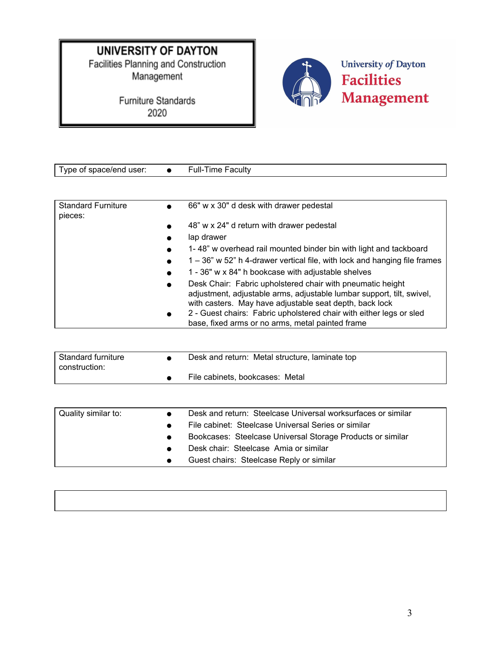# **UNIVERSITY OF DAYTON**

Facilities Planning and Construction Management

> Furniture Standards 2020



Type of space/end user: ● Full-Time Faculty Standard Furniture pieces: ● 66" w x 30" d desk with drawer pedestal ● 48" w x 24" d return with drawer pedestal ● lap drawer ● 1- 48" w overhead rail mounted binder bin with light and tackboard ● 1 – 36" w 52" h 4-drawer vertical file, with lock and hanging file frames ● 1 - 36" w x 84" h bookcase with adjustable shelves ● Desk Chair: Fabric upholstered chair with pneumatic height adjustment, adjustable arms, adjustable lumbar support, tilt, swivel, with casters. May have adjustable seat depth, back lock 2 - Guest chairs: Fabric upholstered chair with either legs or sled base, fixed arms or no arms, metal painted frame

| Standard furniture<br>construction: | Desk and return: Metal structure, laminate top |
|-------------------------------------|------------------------------------------------|
|                                     | File cabinets, bookcases: Metal                |

| Quality similar to: | Desk and return: Steelcase Universal worksurfaces or similar |
|---------------------|--------------------------------------------------------------|
|                     | File cabinet: Steelcase Universal Series or similar          |
|                     | Bookcases: Steelcase Universal Storage Products or similar   |
|                     | Desk chair: Steelcase Amia or similar                        |
|                     | Guest chairs: Steelcase Reply or similar                     |

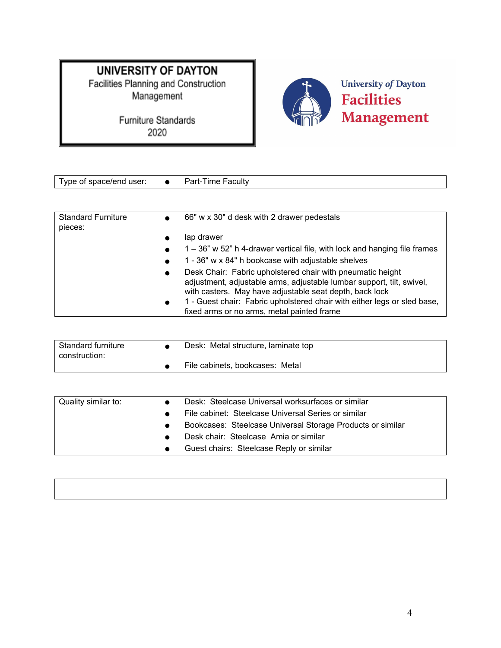Management



| Type of space/end user:   | Part-Time Faculty                                                         |
|---------------------------|---------------------------------------------------------------------------|
|                           |                                                                           |
|                           |                                                                           |
| <b>Standard Furniture</b> | 66" w x 30" d desk with 2 drawer pedestals                                |
| pieces:                   |                                                                           |
|                           | lap drawer                                                                |
|                           | 1 – 36" w 52" h 4-drawer vertical file, with lock and hanging file frames |
|                           | 1 - 36" w x 84" h bookcase with adjustable shelves                        |
|                           | Desk Chair: Fabric upholstered chair with pneumatic height                |
|                           | adjustment, adjustable arms, adjustable lumbar support, tilt, swivel,     |
|                           | with casters. May have adjustable seat depth, back lock                   |
|                           | 1 - Guest chair: Fabric upholstered chair with either legs or sled base,  |
|                           | fixed arms or no arms, metal painted frame                                |

| Standard furniture<br>construction: | Desk: Metal structure, laminate top |
|-------------------------------------|-------------------------------------|
|                                     | File cabinets, bookcases: Metal     |

| Quality similar to: | Desk: Steelcase Universal worksurfaces or similar          |
|---------------------|------------------------------------------------------------|
|                     | File cabinet: Steelcase Universal Series or similar        |
|                     | Bookcases: Steelcase Universal Storage Products or similar |
|                     | Desk chair: Steelcase Amia or similar                      |
|                     | Guest chairs: Steelcase Reply or similar                   |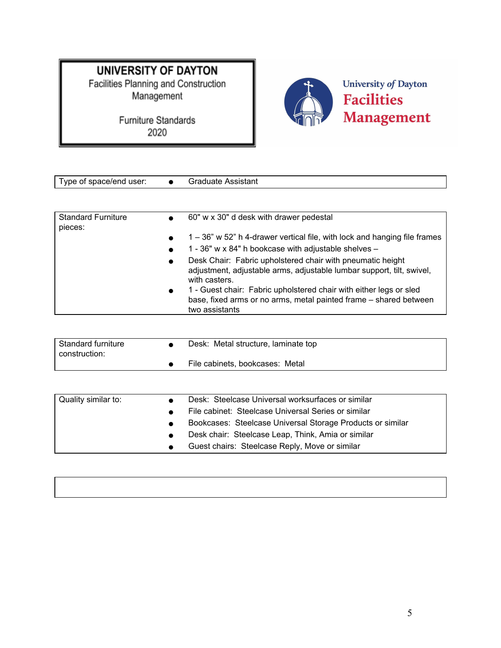Management



| Type of space/end user:              |           | <b>Graduate Assistant</b>                                                                                                                                 |
|--------------------------------------|-----------|-----------------------------------------------------------------------------------------------------------------------------------------------------------|
|                                      |           |                                                                                                                                                           |
| <b>Standard Furniture</b><br>pieces: |           | 60" w x 30" d desk with drawer pedestal                                                                                                                   |
|                                      |           | 1 – 36" w 52" h 4-drawer vertical file, with lock and hanging file frames                                                                                 |
|                                      |           | 1 - 36" w x 84" h bookcase with adjustable shelves $-$                                                                                                    |
|                                      | $\bullet$ | Desk Chair: Fabric upholstered chair with pneumatic height<br>adjustment, adjustable arms, adjustable lumbar support, tilt, swivel,<br>with casters.      |
|                                      |           | 1 - Guest chair: Fabric upholstered chair with either legs or sled<br>base, fixed arms or no arms, metal painted frame – shared between<br>two assistants |

| Standard furniture<br>construction: | Desk: Metal structure, laminate top |
|-------------------------------------|-------------------------------------|
|                                     | File cabinets, bookcases: Metal     |

| Quality similar to: | Desk: Steelcase Universal worksurfaces or similar          |
|---------------------|------------------------------------------------------------|
|                     | File cabinet: Steelcase Universal Series or similar        |
|                     | Bookcases: Steelcase Universal Storage Products or similar |
|                     | Desk chair: Steelcase Leap, Think, Amia or similar         |
|                     | Guest chairs: Steelcase Reply, Move or similar             |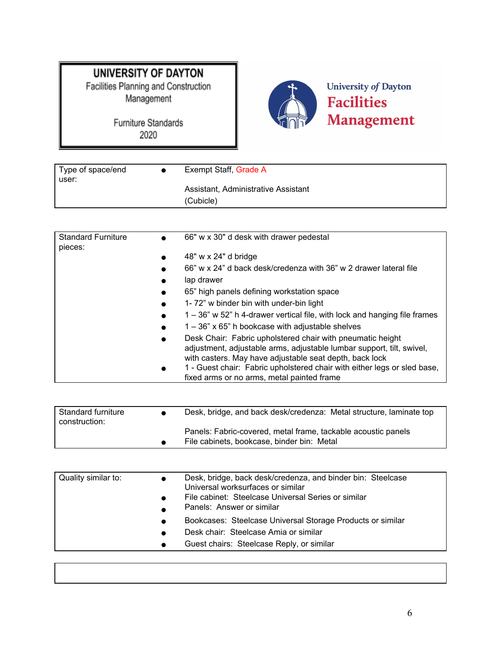Furniture Standards 2020



University of Dayton **Facilities** Management

| Type of space/end<br>user: | Exempt Staff, Grade A                            |
|----------------------------|--------------------------------------------------|
|                            | Assistant, Administrative Assistant<br>(Cubicle) |

| <b>Standard Furniture</b><br>pieces: | 66" w x 30" d desk with drawer pedestal<br>$\bullet$                                                                                                                                                        |
|--------------------------------------|-------------------------------------------------------------------------------------------------------------------------------------------------------------------------------------------------------------|
|                                      | 48" w x 24" d bridge<br>$\bullet$                                                                                                                                                                           |
|                                      | 66" w x 24" d back desk/credenza with 36" w 2 drawer lateral file<br>$\bullet$                                                                                                                              |
|                                      | lap drawer<br>$\bullet$                                                                                                                                                                                     |
|                                      | 65" high panels defining workstation space<br>$\bullet$                                                                                                                                                     |
|                                      | 1-72" w binder bin with under-bin light<br>$\bullet$                                                                                                                                                        |
|                                      | 1 – 36" w 52" h 4-drawer vertical file, with lock and hanging file frames<br>$\bullet$                                                                                                                      |
|                                      | $1 - 36$ " x 65" h bookcase with adjustable shelves<br>$\bullet$                                                                                                                                            |
|                                      | Desk Chair: Fabric upholstered chair with pneumatic height<br>$\bullet$<br>adjustment, adjustable arms, adjustable lumbar support, tilt, swivel,<br>with casters. May have adjustable seat depth, back lock |
|                                      | 1 - Guest chair: Fabric upholstered chair with either legs or sled base,<br>$\bullet$<br>fixed arms or no arms, metal painted frame                                                                         |

| <b>Standard furniture</b><br>construction: | $\bullet$ | Desk, bridge, and back desk/credenza: Metal structure, laminate top                                         |
|--------------------------------------------|-----------|-------------------------------------------------------------------------------------------------------------|
|                                            |           | Panels: Fabric-covered, metal frame, tackable acoustic panels<br>File cabinets, bookcase, binder bin: Metal |

| Quality similar to: |           | Desk, bridge, back desk/credenza, and binder bin: Steelcase<br>Universal worksurfaces or similar<br>File cabinet: Steelcase Universal Series or similar<br>Panels: Answer or similar |
|---------------------|-----------|--------------------------------------------------------------------------------------------------------------------------------------------------------------------------------------|
|                     | $\bullet$ | Bookcases: Steelcase Universal Storage Products or similar                                                                                                                           |
|                     | $\bullet$ | Desk chair: Steelcase Amia or similar                                                                                                                                                |
|                     | $\bullet$ | Guest chairs: Steelcase Reply, or similar                                                                                                                                            |
|                     |           |                                                                                                                                                                                      |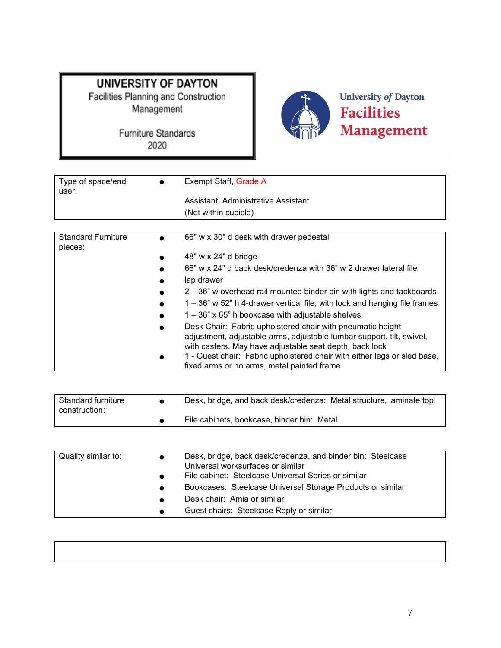

| Type of space/end<br>user:           | Exempt Staff, Grade A                                                                                                                                                                                       |
|--------------------------------------|-------------------------------------------------------------------------------------------------------------------------------------------------------------------------------------------------------------|
|                                      | Assistant, Administrative Assistant                                                                                                                                                                         |
|                                      | (Not within cubicle)                                                                                                                                                                                        |
|                                      |                                                                                                                                                                                                             |
| <b>Standard Furniture</b><br>pieces: | 66" w x 30" d desk with drawer pedestal<br>$\bullet$                                                                                                                                                        |
|                                      | 48" w x 24" d bridge<br>$\bullet$                                                                                                                                                                           |
|                                      | 66" w x 24" d back desk/credenza with 36" w 2 drawer lateral file<br>$\bullet$                                                                                                                              |
|                                      | lap drawer<br>$\bullet$                                                                                                                                                                                     |
|                                      | 2 – 36" w overhead rail mounted binder bin with lights and tackboards<br>$\bullet$                                                                                                                          |
|                                      | 1 – 36" w 52" h 4-drawer vertical file, with lock and hanging file frames<br>$\bullet$                                                                                                                      |
|                                      | $1 - 36$ " x 65" h bookcase with adjustable shelves<br>$\bullet$                                                                                                                                            |
|                                      | Desk Chair: Fabric upholstered chair with pneumatic height<br>$\bullet$<br>adjustment, adjustable arms, adjustable lumbar support, tilt, swivel,<br>with casters. Mav have adiustable seat depth. back lock |

| 1 - Guest chair: Fabric upholstered chair with either legs or sled base, |
|--------------------------------------------------------------------------|
| fixed arms or no arms, metal painted frame                               |

| Standard furniture<br>construction: | Desk, bridge, and back desk/credenza: Metal structure, laminate top |
|-------------------------------------|---------------------------------------------------------------------|
|                                     | File cabinets, bookcase, binder bin: Metal                          |

| Quality similar to: | $\bullet$ | Desk, bridge, back desk/credenza, and binder bin: Steelcase<br>Universal worksurfaces or similar |
|---------------------|-----------|--------------------------------------------------------------------------------------------------|
|                     | $\bullet$ | File cabinet: Steelcase Universal Series or similar                                              |
|                     | $\bullet$ | Bookcases: Steelcase Universal Storage Products or similar                                       |
|                     | $\bullet$ | Desk chair: Amia or similar                                                                      |
|                     | $\bullet$ | Guest chairs: Steelcase Reply or similar                                                         |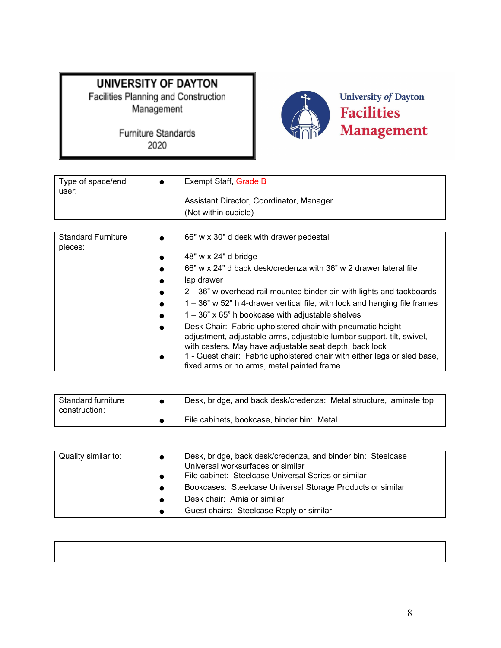

| Type of space/end<br>user:           | Exempt Staff, Grade B                                                                                                                                                                                                                                                                                                    |
|--------------------------------------|--------------------------------------------------------------------------------------------------------------------------------------------------------------------------------------------------------------------------------------------------------------------------------------------------------------------------|
|                                      | Assistant Director, Coordinator, Manager                                                                                                                                                                                                                                                                                 |
|                                      | (Not within cubicle)                                                                                                                                                                                                                                                                                                     |
|                                      |                                                                                                                                                                                                                                                                                                                          |
| <b>Standard Furniture</b><br>pieces: | 66" w x 30" d desk with drawer pedestal                                                                                                                                                                                                                                                                                  |
|                                      | 48" w x 24" d bridge                                                                                                                                                                                                                                                                                                     |
|                                      | 66" w x 24" d back desk/credenza with 36" w 2 drawer lateral file                                                                                                                                                                                                                                                        |
|                                      | lap drawer                                                                                                                                                                                                                                                                                                               |
|                                      | 2 – 36" w overhead rail mounted binder bin with lights and tackboards                                                                                                                                                                                                                                                    |
|                                      | 1 – 36" w 52" h 4-drawer vertical file, with lock and hanging file frames                                                                                                                                                                                                                                                |
|                                      | $1 - 36$ " x 65" h bookcase with adjustable shelves                                                                                                                                                                                                                                                                      |
|                                      | Desk Chair: Fabric upholstered chair with pneumatic height<br>adjustment, adjustable arms, adjustable lumbar support, tilt, swivel,<br>with casters. May have adjustable seat depth, back lock<br>1 - Guest chair: Fabric upholstered chair with either legs or sled base,<br>fixed arms or no arms, metal painted frame |

| Standard furniture<br>construction: | Desk, bridge, and back desk/credenza: Metal structure, laminate top |
|-------------------------------------|---------------------------------------------------------------------|
|                                     | File cabinets, bookcase, binder bin: Metal                          |

| Quality similar to: | $\bullet$ | Desk, bridge, back desk/credenza, and binder bin: Steelcase<br>Universal worksurfaces or similar |
|---------------------|-----------|--------------------------------------------------------------------------------------------------|
|                     | $\bullet$ | File cabinet: Steelcase Universal Series or similar                                              |
|                     | $\bullet$ | Bookcases: Steelcase Universal Storage Products or similar                                       |
|                     | $\bullet$ | Desk chair: Amia or similar                                                                      |
|                     | $\bullet$ | Guest chairs: Steelcase Reply or similar                                                         |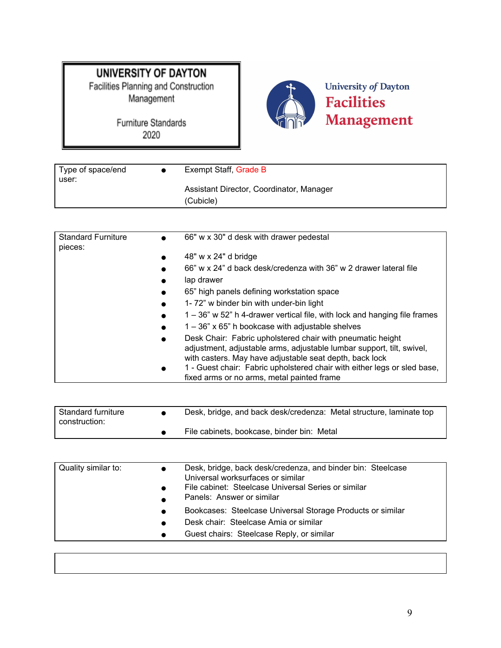# **UNIVERSITY OF DAYTON**

Facilities Planning and Construction<br>Management



| Type of space/end<br>user: | Exempt Staff, Grade B                                 |
|----------------------------|-------------------------------------------------------|
|                            | Assistant Director, Coordinator, Manager<br>(Cubicle) |

| <b>Standard Furniture</b><br>pieces: | 66" w x 30" d desk with drawer pedestal<br>$\bullet$                                                                                                                                                                                                                                                 |
|--------------------------------------|------------------------------------------------------------------------------------------------------------------------------------------------------------------------------------------------------------------------------------------------------------------------------------------------------|
|                                      | 48" w x 24" d bridge<br>$\bullet$                                                                                                                                                                                                                                                                    |
|                                      | 66" w x 24" d back desk/credenza with 36" w 2 drawer lateral file<br>$\bullet$                                                                                                                                                                                                                       |
|                                      | lap drawer<br>$\bullet$                                                                                                                                                                                                                                                                              |
|                                      | 65" high panels defining workstation space<br>$\bullet$                                                                                                                                                                                                                                              |
|                                      | 1-72" w binder bin with under-bin light<br>$\bullet$                                                                                                                                                                                                                                                 |
|                                      | 1 – 36" w 52" h 4-drawer vertical file, with lock and hanging file frames<br>$\bullet$                                                                                                                                                                                                               |
|                                      | $1 - 36$ " x 65" h bookcase with adjustable shelves<br>$\bullet$                                                                                                                                                                                                                                     |
|                                      | Desk Chair: Fabric upholstered chair with pneumatic height<br>$\bullet$<br>adjustment, adjustable arms, adjustable lumbar support, tilt, swivel,<br>with casters. May have adjustable seat depth, back lock<br>1 - Guest chair: Fabric upholstered chair with either legs or sled base,<br>$\bullet$ |
|                                      | fixed arms or no arms, metal painted frame                                                                                                                                                                                                                                                           |

| l Standard furniture<br>construction: | Desk, bridge, and back desk/credenza: Metal structure, laminate top |
|---------------------------------------|---------------------------------------------------------------------|
|                                       | File cabinets, bookcase, binder bin: Metal                          |

| Quality similar to: | $\bullet$              | Desk, bridge, back desk/credenza, and binder bin: Steelcase<br>Universal worksurfaces or similar<br>File cabinet: Steelcase Universal Series or similar<br>Panels: Answer or similar |
|---------------------|------------------------|--------------------------------------------------------------------------------------------------------------------------------------------------------------------------------------|
|                     | $\bullet$<br>$\bullet$ | Bookcases: Steelcase Universal Storage Products or similar<br>Desk chair: Steelcase Amia or similar                                                                                  |
|                     | $\bullet$              | Guest chairs: Steelcase Reply, or similar                                                                                                                                            |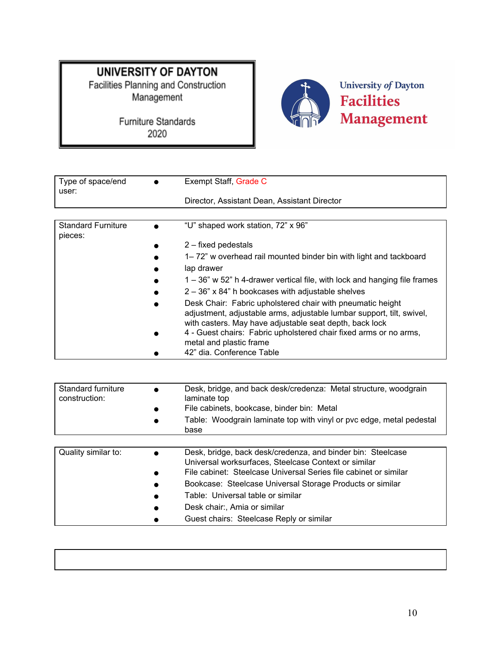Management



| Type of space/end<br>user:           | Exempt Staff, Grade C                                                                                                                                                                          |
|--------------------------------------|------------------------------------------------------------------------------------------------------------------------------------------------------------------------------------------------|
|                                      | Director, Assistant Dean, Assistant Director                                                                                                                                                   |
|                                      |                                                                                                                                                                                                |
| <b>Standard Furniture</b><br>pieces: | "U" shaped work station, 72" x 96"                                                                                                                                                             |
|                                      | $2$ – fixed pedestals                                                                                                                                                                          |
|                                      | 1–72" w overhead rail mounted binder bin with light and tackboard                                                                                                                              |
|                                      | lap drawer                                                                                                                                                                                     |
|                                      | 1 – 36" w 52" h 4-drawer vertical file, with lock and hanging file frames                                                                                                                      |
|                                      | $2 - 36$ " x 84" h bookcases with adjustable shelves                                                                                                                                           |
|                                      | Desk Chair: Fabric upholstered chair with pneumatic height<br>adjustment, adjustable arms, adjustable lumbar support, tilt, swivel,<br>with casters. May have adjustable seat depth, back lock |
|                                      | 4 - Guest chairs: Fabric upholstered chair fixed arms or no arms,<br>metal and plastic frame                                                                                                   |
|                                      | 42" dia. Conference Table                                                                                                                                                                      |

| Standard furniture<br>construction: | Desk, bridge, and back desk/credenza: Metal structure, woodgrain<br>laminate top<br>File cabinets, bookcase, binder bin: Metal<br>Table: Woodgrain laminate top with vinyl or pvc edge, metal pedestal<br>base |
|-------------------------------------|----------------------------------------------------------------------------------------------------------------------------------------------------------------------------------------------------------------|
|                                     |                                                                                                                                                                                                                |
| Quality similar to:                 | Desk, bridge, back desk/credenza, and binder bin: Steelcase<br>$\bullet$<br>Universal worksurfaces, Steelcase Context or similar<br>File cabinet: Steelcase Universal Series file cabinet or similar           |
|                                     | Bookcase: Steelcase Universal Storage Products or similar                                                                                                                                                      |
|                                     | Table: Universal table or similar                                                                                                                                                                              |
|                                     | Desk chair:, Amia or similar                                                                                                                                                                                   |
|                                     | Guest chairs: Steelcase Reply or similar                                                                                                                                                                       |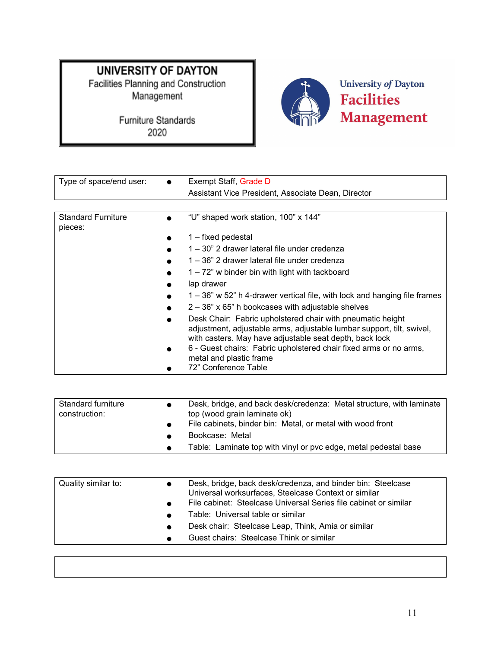

| Type of space/end user:              | Exempt Staff, Grade D                                                                                                                                                                                                                                                                                                  |  |
|--------------------------------------|------------------------------------------------------------------------------------------------------------------------------------------------------------------------------------------------------------------------------------------------------------------------------------------------------------------------|--|
|                                      | Assistant Vice President, Associate Dean, Director                                                                                                                                                                                                                                                                     |  |
|                                      |                                                                                                                                                                                                                                                                                                                        |  |
| <b>Standard Furniture</b><br>pieces: | "U" shaped work station, 100" x 144"                                                                                                                                                                                                                                                                                   |  |
|                                      | 1 – fixed pedestal                                                                                                                                                                                                                                                                                                     |  |
|                                      | 1 – 30" 2 drawer lateral file under credenza                                                                                                                                                                                                                                                                           |  |
|                                      | 1 – 36" 2 drawer lateral file under credenza                                                                                                                                                                                                                                                                           |  |
|                                      | $1 - 72$ " w binder bin with light with tackboard                                                                                                                                                                                                                                                                      |  |
|                                      | lap drawer                                                                                                                                                                                                                                                                                                             |  |
|                                      | 1 – 36" w 52" h 4-drawer vertical file, with lock and hanging file frames                                                                                                                                                                                                                                              |  |
|                                      | $2 - 36$ " x 65" h bookcases with adjustable shelves                                                                                                                                                                                                                                                                   |  |
|                                      | Desk Chair: Fabric upholstered chair with pneumatic height<br>adjustment, adjustable arms, adjustable lumbar support, tilt, swivel,<br>with casters. May have adjustable seat depth, back lock<br>6 - Guest chairs: Fabric upholstered chair fixed arms or no arms,<br>metal and plastic frame<br>72" Conference Table |  |

| Standard furniture<br>construction: | Desk, bridge, and back desk/credenza: Metal structure, with laminate<br>top (wood grain laminate ok) |
|-------------------------------------|------------------------------------------------------------------------------------------------------|
|                                     | File cabinets, binder bin: Metal, or metal with wood front                                           |
|                                     | Bookcase: Metal                                                                                      |
|                                     | Table: Laminate top with vinyl or pvc edge, metal pedestal base                                      |

| Quality similar to: | Desk, bridge, back desk/credenza, and binder bin: Steelcase<br>Universal worksurfaces, Steelcase Context or similar<br>File cabinet: Steelcase Universal Series file cabinet or similar<br>Table: Universal table or similar<br>Desk chair: Steelcase Leap, Think, Amia or similar<br>Guest chairs: Steelcase Think or similar |
|---------------------|--------------------------------------------------------------------------------------------------------------------------------------------------------------------------------------------------------------------------------------------------------------------------------------------------------------------------------|
|---------------------|--------------------------------------------------------------------------------------------------------------------------------------------------------------------------------------------------------------------------------------------------------------------------------------------------------------------------------|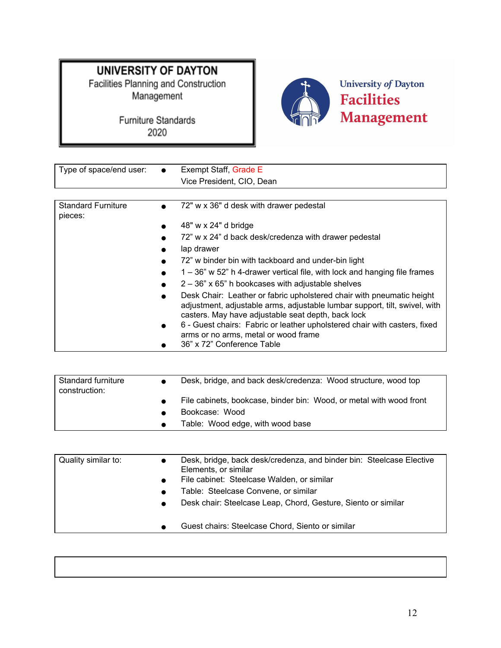Furniture Standards 2020



# **Facilities** Management

| Type of space/end user:              | <b>Exempt Staff, Grade E</b>                                                                                                                                                                                                                                                                                                                                              |
|--------------------------------------|---------------------------------------------------------------------------------------------------------------------------------------------------------------------------------------------------------------------------------------------------------------------------------------------------------------------------------------------------------------------------|
|                                      | Vice President, CIO, Dean                                                                                                                                                                                                                                                                                                                                                 |
|                                      |                                                                                                                                                                                                                                                                                                                                                                           |
| <b>Standard Furniture</b><br>pieces: | 72" w x 36" d desk with drawer pedestal                                                                                                                                                                                                                                                                                                                                   |
|                                      | 48" w x 24" d bridge                                                                                                                                                                                                                                                                                                                                                      |
|                                      | 72" w x 24" d back desk/credenza with drawer pedestal                                                                                                                                                                                                                                                                                                                     |
|                                      | lap drawer                                                                                                                                                                                                                                                                                                                                                                |
|                                      | 72" w binder bin with tackboard and under-bin light                                                                                                                                                                                                                                                                                                                       |
|                                      | $1 - 36$ " w 52" h 4-drawer vertical file, with lock and hanging file frames                                                                                                                                                                                                                                                                                              |
|                                      | $2 - 36$ " x 65" h bookcases with adjustable shelves                                                                                                                                                                                                                                                                                                                      |
|                                      | Desk Chair: Leather or fabric upholstered chair with pneumatic height<br>adjustment, adjustable arms, adjustable lumbar support, tilt, swivel, with<br>casters. May have adjustable seat depth, back lock<br>6 - Guest chairs: Fabric or leather upholstered chair with casters, fixed<br>$\bullet$<br>arms or no arms, metal or wood frame<br>36" x 72" Conference Table |

| Standard furniture<br>construction: |           | Desk, bridge, and back desk/credenza: Wood structure, wood top      |
|-------------------------------------|-----------|---------------------------------------------------------------------|
|                                     |           | File cabinets, bookcase, binder bin: Wood, or metal with wood front |
|                                     |           | Bookcase: Wood                                                      |
|                                     | $\bullet$ | Table: Wood edge, with wood base                                    |

| Quality similar to: | $\bullet$ | Desk, bridge, back desk/credenza, and binder bin: Steelcase Elective<br>Elements, or similar<br>File cabinet: Steelcase Walden, or similar<br>Table: Steelcase Convene, or similar<br>Desk chair: Steelcase Leap, Chord, Gesture, Siento or similar |
|---------------------|-----------|-----------------------------------------------------------------------------------------------------------------------------------------------------------------------------------------------------------------------------------------------------|
|                     | $\bullet$ | Guest chairs: Steelcase Chord, Siento or similar                                                                                                                                                                                                    |